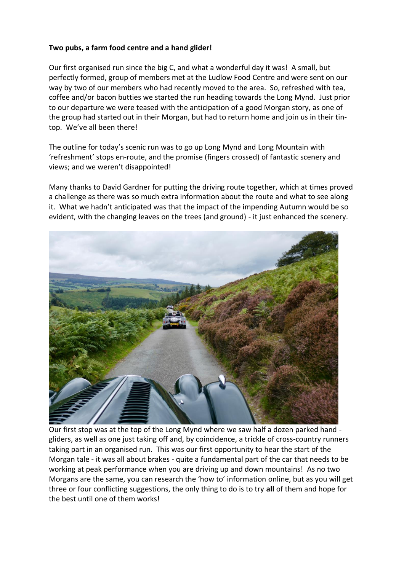## **Two pubs, a farm food centre and a hand glider!**

Our first organised run since the big C, and what a wonderful day it was! A small, but perfectly formed, group of members met at the Ludlow Food Centre and were sent on our way by two of our members who had recently moved to the area. So, refreshed with tea, coffee and/or bacon butties we started the run heading towards the Long Mynd. Just prior to our departure we were teased with the anticipation of a good Morgan story, as one of the group had started out in their Morgan, but had to return home and join us in their tintop. We've all been there!

The outline for today's scenic run was to go up Long Mynd and Long Mountain with 'refreshment' stops en-route, and the promise (fingers crossed) of fantastic scenery and views; and we weren't disappointed!

Many thanks to David Gardner for putting the driving route together, which at times proved a challenge as there was so much extra information about the route and what to see along it. What we hadn't anticipated was that the impact of the impending Autumn would be so evident, with the changing leaves on the trees (and ground) - it just enhanced the scenery.



Our first stop was at the top of the Long Mynd where we saw half a dozen parked hand gliders, as well as one just taking off and, by coincidence, a trickle of cross-country runners taking part in an organised run. This was our first opportunity to hear the start of the Morgan tale - it was all about brakes - quite a fundamental part of the car that needs to be working at peak performance when you are driving up and down mountains! As no two Morgans are the same, you can research the 'how to' information online, but as you will get three or four conflicting suggestions, the only thing to do is to try **all** of them and hope for the best until one of them works!